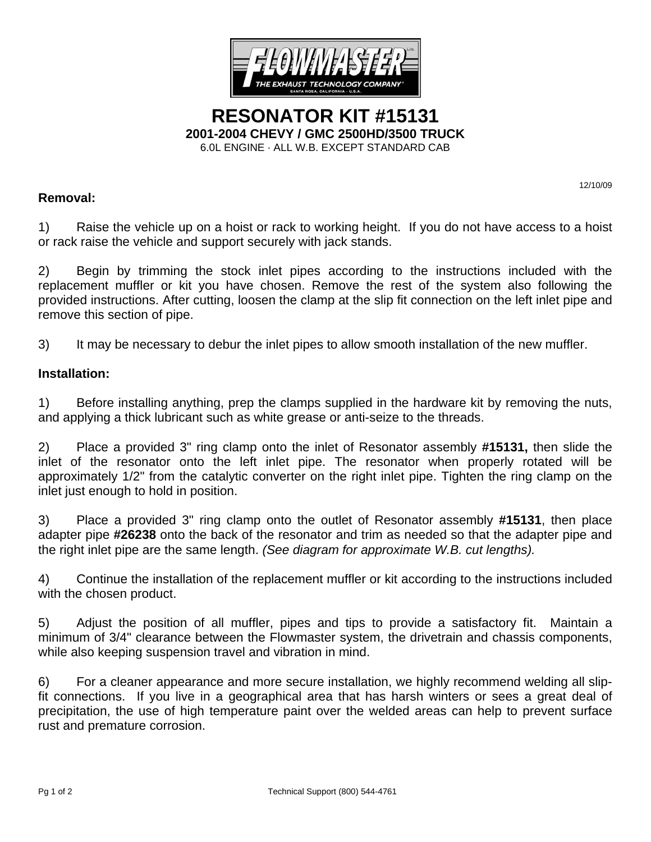

**RESONATOR KIT #15131 2001-2004 CHEVY / GMC 2500HD/3500 TRUCK**  6.0L ENGINE · ALL W.B. EXCEPT STANDARD CAB

## **Removal:**

12/10/09

1) Raise the vehicle up on a hoist or rack to working height. If you do not have access to a hoist or rack raise the vehicle and support securely with jack stands.

2) Begin by trimming the stock inlet pipes according to the instructions included with the replacement muffler or kit you have chosen. Remove the rest of the system also following the provided instructions. After cutting, loosen the clamp at the slip fit connection on the left inlet pipe and remove this section of pipe.

3) It may be necessary to debur the inlet pipes to allow smooth installation of the new muffler.

## **Installation:**

1) Before installing anything, prep the clamps supplied in the hardware kit by removing the nuts, and applying a thick lubricant such as white grease or anti-seize to the threads.

2) Place a provided 3" ring clamp onto the inlet of Resonator assembly **#15131,** then slide the inlet of the resonator onto the left inlet pipe. The resonator when properly rotated will be approximately 1/2" from the catalytic converter on the right inlet pipe. Tighten the ring clamp on the inlet just enough to hold in position.

3) Place a provided 3" ring clamp onto the outlet of Resonator assembly **#15131**, then place adapter pipe **#26238** onto the back of the resonator and trim as needed so that the adapter pipe and the right inlet pipe are the same length. *(See diagram for approximate W.B. cut lengths).* 

4) Continue the installation of the replacement muffler or kit according to the instructions included with the chosen product.

5) Adjust the position of all muffler, pipes and tips to provide a satisfactory fit. Maintain a minimum of 3/4" clearance between the Flowmaster system, the drivetrain and chassis components, while also keeping suspension travel and vibration in mind.

6) For a cleaner appearance and more secure installation, we highly recommend welding all slipfit connections. If you live in a geographical area that has harsh winters or sees a great deal of precipitation, the use of high temperature paint over the welded areas can help to prevent surface rust and premature corrosion.